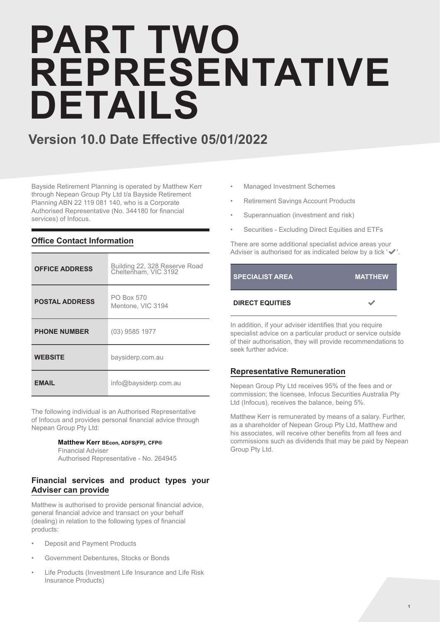# **PART TWO REPRESENTATIVE DETAILS**

### **Version 10.0 Date Effective 05/01/2022**

Bayside Retirement Planning is operated by Matthew Kerr through Nepean Group Pty Ltd t/a Bayside Retirement Planning ABN 22 119 081 140, who is a Corporate Authorised Representative (No. 344180 for financial services) of Infocus.

| <b>OFFICE ADDRESS</b> | Building 22, 328 Reserve Road<br>Cheltenham, VIC 3192 |
|-----------------------|-------------------------------------------------------|
| <b>POSTAL ADDRESS</b> | PO Box 570<br>Mentone, VIC 3194                       |
| <b>PHONE NUMBER</b>   | $(03)$ 9585 1977                                      |
| <b>WEBSITE</b>        | baysiderp.com.au                                      |
| <b>EMAIL</b>          | info@baysiderp.com.au                                 |

### **Office Contact Information**

The following individual is an Authorised Representative of Infocus and provides personal financial advice through Nepean Group Pty Ltd:

### **Matthew Kerr BEcon, ADFS(FP), CFP®**

Financial Adviser Authorised Representative - No. 264945

### **Financial services and product types your Adviser can provide**

Matthew is authorised to provide personal financial advice, general financial advice and transact on your behalf (dealing) in relation to the following types of financial products:

- Deposit and Payment Products
- Government Debentures, Stocks or Bonds
- Life Products (Investment Life Insurance and Life Risk Insurance Products)
- Managed Investment Schemes
- Retirement Savings Account Products
- Superannuation (investment and risk)
- Securities Excluding Direct Equities and ETFs

There are some additional specialist advice areas your Adviser is authorised for as indicated below by a tick '✔'.



In addition, if your adviser identifies that you require specialist advice on a particular product or service outside of their authorisation, they will provide recommendations to seek further advice.

### **Representative Remuneration**

Nepean Group Pty Ltd receives 95% of the fees and or commission; the licensee, Infocus Securities Australia Pty Ltd (Infocus), receives the balance, being 5%.

Matthew Kerr is remunerated by means of a salary. Further, as a shareholder of Nepean Group Pty Ltd, Matthew and his associates, will receive other benefits from all fees and commissions such as dividends that may be paid by Nepean Group Pty Ltd.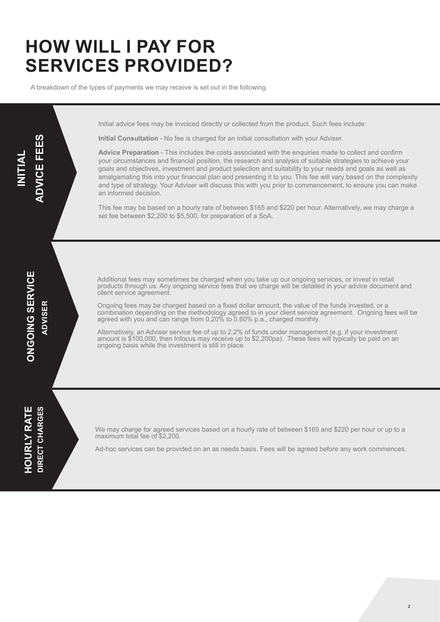## **HOW WILL I PAY FOR SERVICES PROVIDED?**

A breakdown of the types of payments we may receive is set out in the following.

Initial advice fees may be invoiced directly or collected from the product. Such fees include:

**Initial Consultation** - No fee is charged for an initial consultation with your Adviser.

**Advice Preparation** - This includes the costs associated with the enquiries made to collect and confirm your circumstances and financial position, the research and analysis of suitable strategies to achieve your goals and objectives, investment and product selection and suitability to your needs and goals as well as amalgamating this into your financial plan and presenting it to you. This fee will vary based on the complexity and type of strategy. Your Adviser will discuss this with you prior to commencement, to ensure you can make an informed decision.

This fee may be based on a hourly rate of between \$165 and \$220 per hour. Alternatively, we may charge a set fee between \$2,200 to \$5,500, for preparation of a SoA.

**INITIAL** 

**ADVICE FEES**

**ADVICE FEES** 

Additional fees may sometimes be charged when you take up our ongoing services, or invest in retail products through us. Any ongoing service fees that we charge will be detailed in your advice document and client service agreement.

Ongoing fees may be charged based on a fixed dollar amount, the value of the funds invested, or a combination depending on the methodology agreed to in your client service agreement. Ongoing fees will be agreed with you and can range from 0.20% to 0.60% p.a., charged monthly.

Alternatively, an Adviser service fee of up to 2.2% of funds under management (e.g. if your investment amount is \$100,000, then Infocus may receive up to \$2,200pa). These fees will typically be paid on an ongoing basis while the investment is still in place.

**HOURLY RATE HOURLY RATE** DIRECT CHARGES **DIRECT CHARGES**

We may charge for agreed services based on a hourly rate of between \$165 and \$220 per hour or up to a maximum total fee of \$2,200.

Ad-hoc services can be provided on an as needs basis. Fees will be agreed before any work commences.